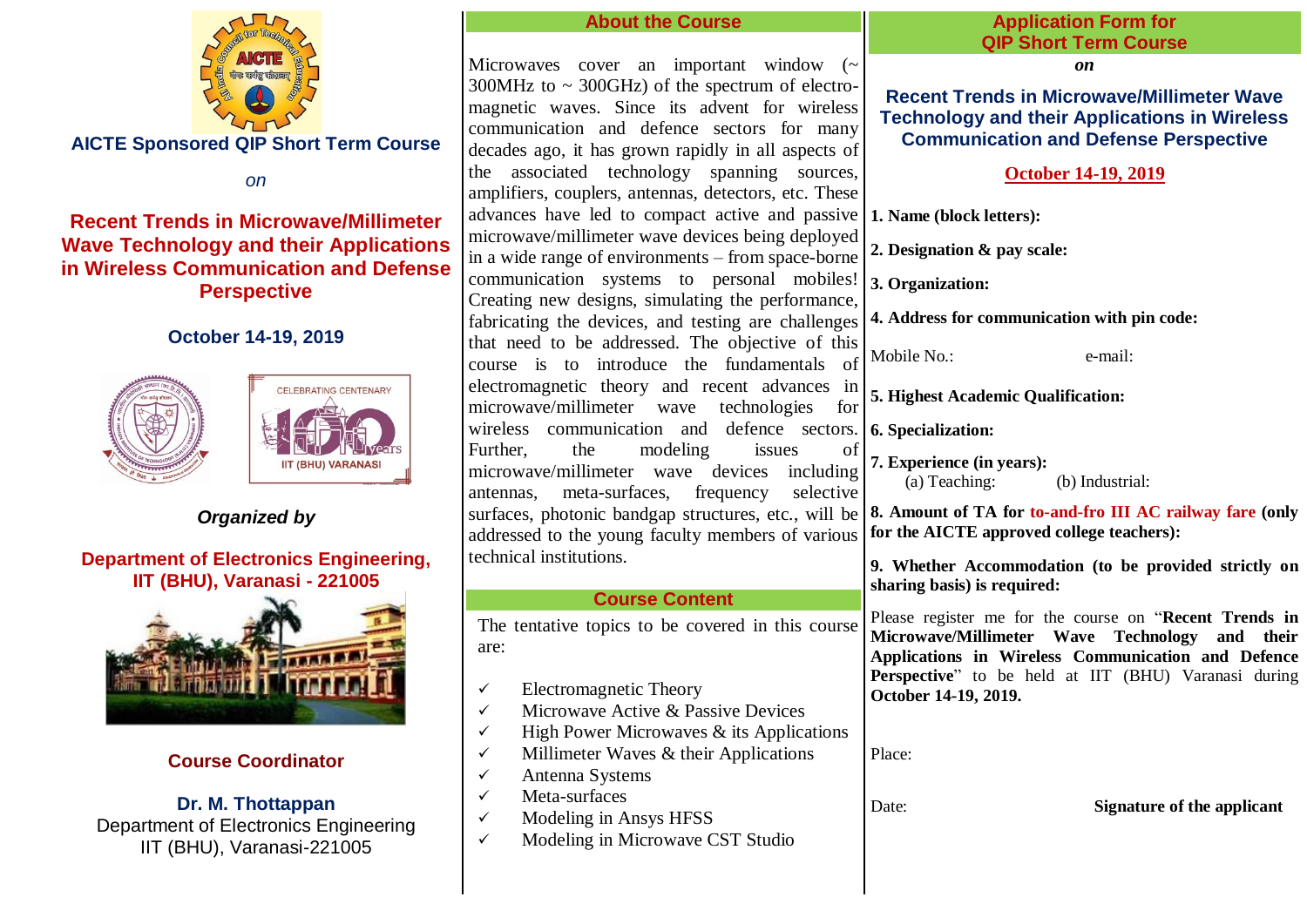

 **AICTE Sponsored QIP Short Term Course** 

*on*

# **Recent Trends in Microwave/Millimeter Wave Technology and their Applications in Wireless Communication and Defense Perspective**

# **October 14-19, 2019**



*Organized by*

# **Department of Electronics Engineering, IIT (BHU), Varanasi - 221005**



# **Course Coordinator**

**Dr. M. Thottappan** Department of Electronics Engineering IIT (BHU), Varanasi-221005

#### **About the Course** Microwaves cover an important window (~  $300MHz$  to  $\sim$  300GHz) of the spectrum of electromagnetic waves. Since its advent for wireless communication and defence sectors for many decades ago, it has grown rapidly in all aspects of the associated technology spanning sources, amplifiers, couplers, antennas, detectors, etc. These advances have led to compact active and passive **1. Name (block letters):**  microwave/millimeter wave devices being deployed in a wide range of environments – from space-borne communication systems to personal mobiles! Creating new designs, simulating the performance, fabricating the devices, and testing are challenges that need to be addressed. The objective of this course is to introduce the fundamentals of electromagnetic theory and recent advances in microwave/millimeter wave technologies for wireless communication and defence sectors. **6. Specialization:**  Further, the modeling issues of microwave/millimeter wave devices including antennas, meta-surfaces, frequency selective surfaces, photonic bandgap structures, etc., will be **8. Amount of TA for to-and-fro III AC railway fare (only**  addressed to the young faculty members of various technical institutions. **Course Content** The tentative topics to be covered in this course are:  $\checkmark$  Electromagnetic Theory  $\checkmark$  Microwave Active & Passive Devices  $\checkmark$  High Power Microwaves & its Applications  $\checkmark$  Millimeter Waves & their Applications  $\checkmark$  Antenna Systems  $\checkmark$  Meta-surfaces  $\checkmark$  Modeling in Ansys HFSS  $\checkmark$  Modeling in Microwave CST Studio **Application Form for QIP Short Term Course** *on* **Recent Trends in Microwave/Millimeter Wave Technology and their Applications in Wireless Communication and Defense Perspective October 14-19, 2019 2. Designation & pay scale: 3. Organization: 4. Address for communication with pin code:**  Mobile No. **e-mail**: **5. Highest Academic Qualification: 7. Experience (in years): (b)** Industrial: **for the AICTE approved college teachers): 9. Whether Accommodation (to be provided strictly on sharing basis) is required:**  Please register me for the course on "**Recent Trends in Microwave/Millimeter Wave Technology and their Applications in Wireless Communication and Defence**  Perspective" to be held at IIT (BHU) Varanasi during **October 14-19, 2019.** Place: Date: **Signature of the applicant**